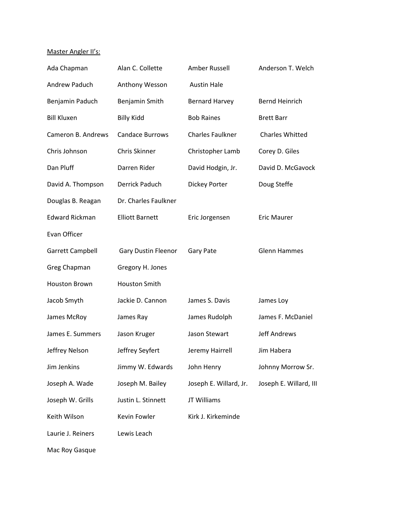## Master Angler II's:

| Ada Chapman           | Alan C. Collette           | Amber Russell           | Anderson T. Welch      |
|-----------------------|----------------------------|-------------------------|------------------------|
| Andrew Paduch         | Anthony Wesson             | <b>Austin Hale</b>      |                        |
| Benjamin Paduch       | Benjamin Smith             | <b>Bernard Harvey</b>   | <b>Bernd Heinrich</b>  |
| <b>Bill Kluxen</b>    | <b>Billy Kidd</b>          | <b>Bob Raines</b>       | <b>Brett Barr</b>      |
| Cameron B. Andrews    | <b>Candace Burrows</b>     | <b>Charles Faulkner</b> | <b>Charles Whitted</b> |
| Chris Johnson         | Chris Skinner              | Christopher Lamb        | Corey D. Giles         |
| Dan Pluff             | Darren Rider               | David Hodgin, Jr.       | David D. McGavock      |
| David A. Thompson     | Derrick Paduch             | Dickey Porter           | Doug Steffe            |
| Douglas B. Reagan     | Dr. Charles Faulkner       |                         |                        |
| <b>Edward Rickman</b> | <b>Elliott Barnett</b>     | Eric Jorgensen          | <b>Eric Maurer</b>     |
| Evan Officer          |                            |                         |                        |
| Garrett Campbell      | <b>Gary Dustin Fleenor</b> | Gary Pate               | <b>Glenn Hammes</b>    |
| Greg Chapman          | Gregory H. Jones           |                         |                        |
| <b>Houston Brown</b>  | <b>Houston Smith</b>       |                         |                        |
| Jacob Smyth           | Jackie D. Cannon           | James S. Davis          | James Loy              |
| James McRoy           | James Ray                  | James Rudolph           | James F. McDaniel      |
| James E. Summers      | Jason Kruger               | Jason Stewart           | <b>Jeff Andrews</b>    |
| Jeffrey Nelson        | Jeffrey Seyfert            | Jeremy Hairrell         | Jim Habera             |
| Jim Jenkins           | Jimmy W. Edwards           | John Henry              | Johnny Morrow Sr.      |
| Joseph A. Wade        | Joseph M. Bailey           | Joseph E. Willard, Jr.  | Joseph E. Willard, III |
| Joseph W. Grills      | Justin L. Stinnett         | JT Williams             |                        |
| Keith Wilson          | Kevin Fowler               | Kirk J. Kirkeminde      |                        |
| Laurie J. Reiners     | Lewis Leach                |                         |                        |
| Mac Roy Gasque        |                            |                         |                        |